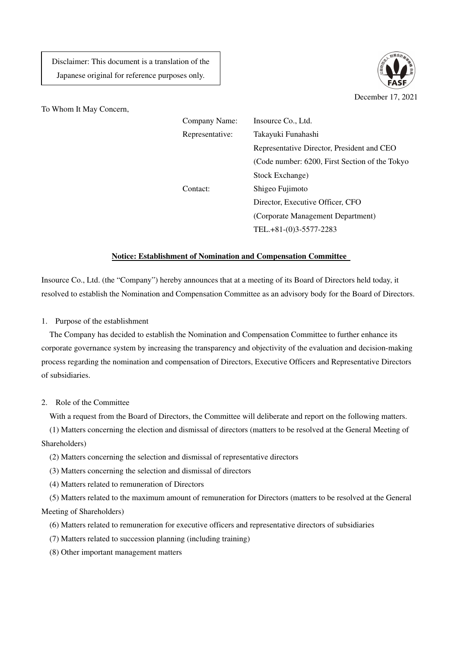Disclaimer: This document is a translation of the Japanese original for reference purposes only.



To Whom It May Concern,

| Company Name:   | Insource Co., Ltd.                             |
|-----------------|------------------------------------------------|
| Representative: | Takayuki Funahashi                             |
|                 | Representative Director, President and CEO     |
|                 | (Code number: 6200, First Section of the Tokyo |
|                 | Stock Exchange)                                |
| Contact:        | Shigeo Fujimoto                                |
|                 | Director, Executive Officer, CFO               |
|                 | (Corporate Management Department)              |
|                 | TEL.+81-(0)3-5577-2283                         |
|                 |                                                |

## **Notice: Establishment of Nomination and Compensation Committee**

Insource Co., Ltd. (the "Company") hereby announces that at a meeting of its Board of Directors held today, it resolved to establish the Nomination and Compensation Committee as an advisory body for the Board of Directors.

1. Purpose of the establishment

The Company has decided to establish the Nomination and Compensation Committee to further enhance its corporate governance system by increasing the transparency and objectivity of the evaluation and decision-making process regarding the nomination and compensation of Directors, Executive Officers and Representative Directors of subsidiaries.

2. Role of the Committee

With a request from the Board of Directors, the Committee will deliberate and report on the following matters.

(1) Matters concerning the election and dismissal of directors (matters to be resolved at the General Meeting of Shareholders)

- (2) Matters concerning the selection and dismissal of representative directors
- (3) Matters concerning the selection and dismissal of directors
- (4) Matters related to remuneration of Directors

(5) Matters related to the maximum amount of remuneration for Directors (matters to be resolved at the General Meeting of Shareholders)

- (6) Matters related to remuneration for executive officers and representative directors of subsidiaries
- (7) Matters related to succession planning (including training)
- (8) Other important management matters